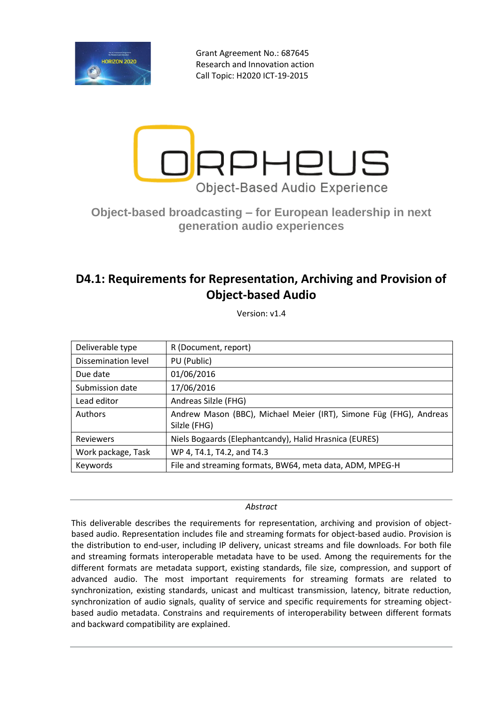

Grant Agreement No.: 687645 Research and Innovation action Call Topic: H2020 ICT-19-2015



# **Object-based broadcasting – for European leadership in next generation audio experiences**

# **D4.1: Requirements for Representation, Archiving and Provision of Object-based Audio**

Version: v1.4

| Deliverable type    | R (Document, report)                                                               |
|---------------------|------------------------------------------------------------------------------------|
| Dissemination level | PU (Public)                                                                        |
| Due date            | 01/06/2016                                                                         |
| Submission date     | 17/06/2016                                                                         |
| Lead editor         | Andreas Silzle (FHG)                                                               |
| Authors             | Andrew Mason (BBC), Michael Meier (IRT), Simone Füg (FHG), Andreas<br>Silzle (FHG) |
| Reviewers           | Niels Bogaards (Elephantcandy), Halid Hrasnica (EURES)                             |
| Work package, Task  | WP 4, T4.1, T4.2, and T4.3                                                         |
| Keywords            | File and streaming formats, BW64, meta data, ADM, MPEG-H                           |

*Abstract*

This deliverable describes the requirements for representation, archiving and provision of objectbased audio. Representation includes file and streaming formats for object-based audio. Provision is the distribution to end-user, including IP delivery, unicast streams and file downloads. For both file and streaming formats interoperable metadata have to be used. Among the requirements for the different formats are metadata support, existing standards, file size, compression, and support of advanced audio. The most important requirements for streaming formats are related to synchronization, existing standards, unicast and multicast transmission, latency, bitrate reduction, synchronization of audio signals, quality of service and specific requirements for streaming objectbased audio metadata. Constrains and requirements of interoperability between different formats and backward compatibility are explained.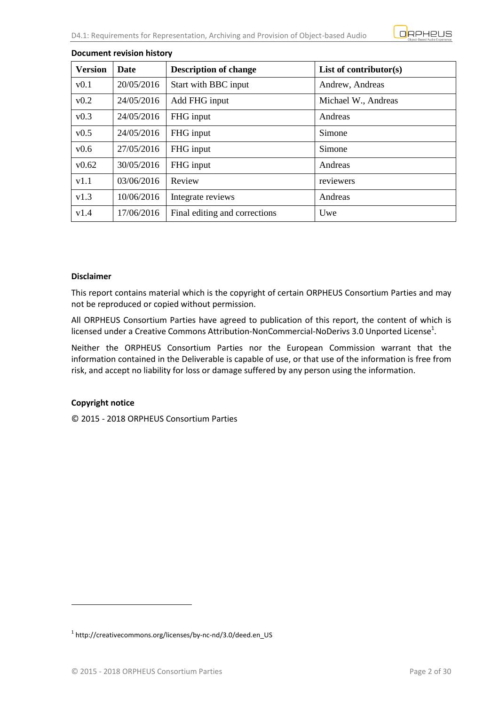

| <b>Version</b> | <b>Date</b> | <b>Description of change</b>  | List of contributor $(s)$ |
|----------------|-------------|-------------------------------|---------------------------|
| v0.1           | 20/05/2016  | Start with BBC input          | Andrew, Andreas           |
| v0.2           | 24/05/2016  | Add FHG input                 | Michael W., Andreas       |
| v0.3           | 24/05/2016  | FHG input                     | Andreas                   |
| v0.5           | 24/05/2016  | FHG input                     | Simone                    |
| v0.6           | 27/05/2016  | FHG input                     | Simone                    |
| v0.62          | 30/05/2016  | FHG input                     | Andreas                   |
| v1.1           | 03/06/2016  | Review                        | reviewers                 |
| v1.3           | 10/06/2016  | Integrate reviews             | Andreas                   |
| v1.4           | 17/06/2016  | Final editing and corrections | Uwe                       |

#### **Document revision history**

#### **Disclaimer**

This report contains material which is the copyright of certain ORPHEUS Consortium Parties and may not be reproduced or copied without permission.

All ORPHEUS Consortium Parties have agreed to publication of this report, the content of which is licensed under a Creative Commons Attribution-NonCommercial-NoDerivs 3.0 Unported License<sup>1</sup>.

Neither the ORPHEUS Consortium Parties nor the European Commission warrant that the information contained in the Deliverable is capable of use, or that use of the information is free from risk, and accept no liability for loss or damage suffered by any person using the information.

#### **Copyright notice**

1

© 2015 - 2018 ORPHEUS Consortium Parties

<sup>1</sup> http://creativecommons.org/licenses/by-nc-nd/3.0/deed.en\_US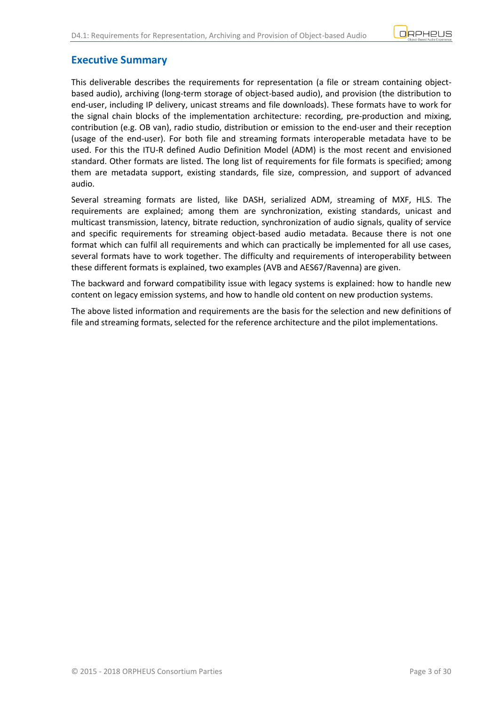## <span id="page-2-0"></span>**Executive Summary**

This deliverable describes the requirements for representation (a file or stream containing objectbased audio), archiving (long-term storage of object-based audio), and provision (the distribution to end-user, including IP delivery, unicast streams and file downloads). These formats have to work for the signal chain blocks of the implementation architecture: recording, pre-production and mixing, contribution (e.g. OB van), radio studio, distribution or emission to the end-user and their reception (usage of the end-user). For both file and streaming formats interoperable metadata have to be used. For this the ITU-R defined Audio Definition Model (ADM) is the most recent and envisioned standard. Other formats are listed. The long list of requirements for file formats is specified; among them are metadata support, existing standards, file size, compression, and support of advanced audio.

Several streaming formats are listed, like DASH, serialized ADM, streaming of MXF, HLS. The requirements are explained; among them are synchronization, existing standards, unicast and multicast transmission, latency, bitrate reduction, synchronization of audio signals, quality of service and specific requirements for streaming object-based audio metadata. Because there is not one format which can fulfil all requirements and which can practically be implemented for all use cases, several formats have to work together. The difficulty and requirements of interoperability between these different formats is explained, two examples (AVB and AES67/Ravenna) are given.

The backward and forward compatibility issue with legacy systems is explained: how to handle new content on legacy emission systems, and how to handle old content on new production systems.

The above listed information and requirements are the basis for the selection and new definitions of file and streaming formats, selected for the reference architecture and the pilot implementations.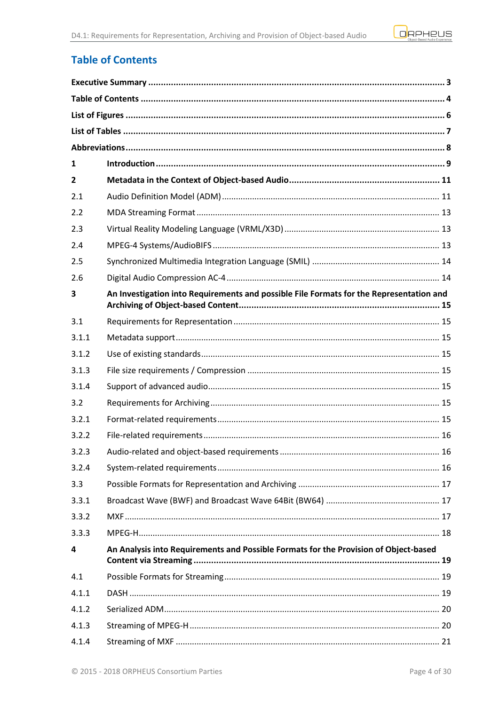

# <span id="page-3-0"></span>**Table of Contents**

| 1              |                                                                                         |
|----------------|-----------------------------------------------------------------------------------------|
| $\overline{2}$ |                                                                                         |
| 2.1            |                                                                                         |
| 2.2            |                                                                                         |
| 2.3            |                                                                                         |
| 2.4            |                                                                                         |
| 2.5            |                                                                                         |
| 2.6            |                                                                                         |
| 3              | An Investigation into Requirements and possible File Formats for the Representation and |
| 3.1            |                                                                                         |
| 3.1.1          |                                                                                         |
| 3.1.2          |                                                                                         |
| 3.1.3          |                                                                                         |
| 3.1.4          |                                                                                         |
| 3.2            |                                                                                         |
| 3.2.1          |                                                                                         |
| 3.2.2          |                                                                                         |
| 3.2.3          |                                                                                         |
| 3.2.4          |                                                                                         |
| 3.3            |                                                                                         |
| 3.3.1          |                                                                                         |
| 3.3.2          |                                                                                         |
| 3.3.3          |                                                                                         |
| 4              | An Analysis into Requirements and Possible Formats for the Provision of Object-based    |
| 4.1            |                                                                                         |
| 4.1.1          |                                                                                         |
| 4.1.2          |                                                                                         |
| 4.1.3          |                                                                                         |
| 4.1.4          |                                                                                         |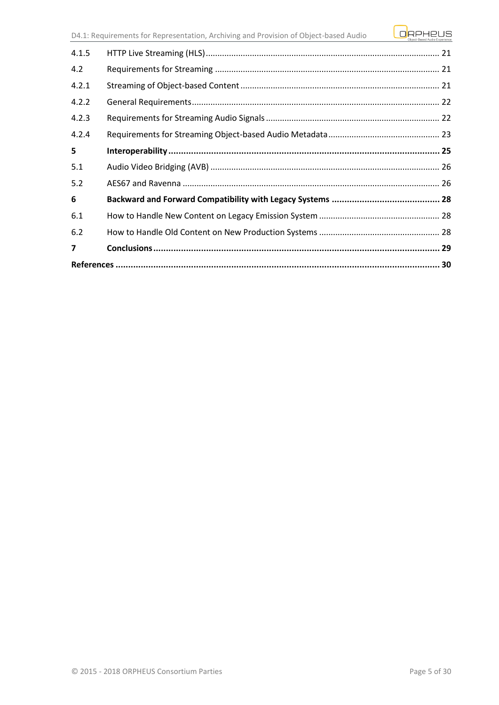| 4.1.5          |  |  |
|----------------|--|--|
| 4.2            |  |  |
| 4.2.1          |  |  |
| 4.2.2          |  |  |
| 4.2.3          |  |  |
| 4.2.4          |  |  |
| 5              |  |  |
| 5.1            |  |  |
| 5.2            |  |  |
| 6              |  |  |
| 6.1            |  |  |
| 6.2            |  |  |
| $\overline{7}$ |  |  |
|                |  |  |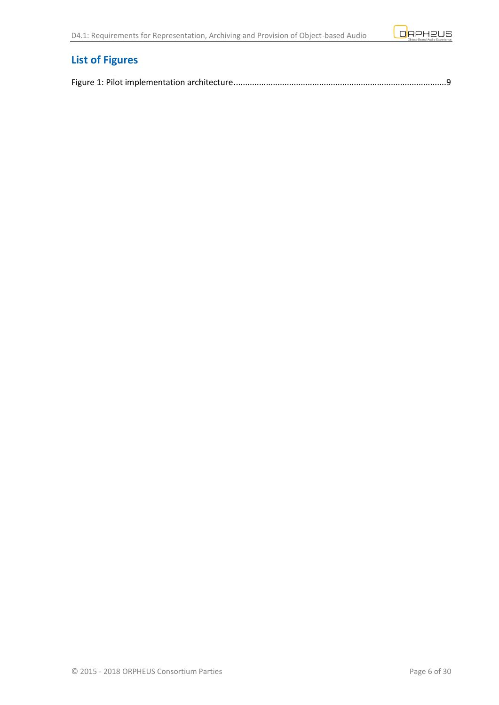

# <span id="page-5-0"></span>**List of Figures**

|--|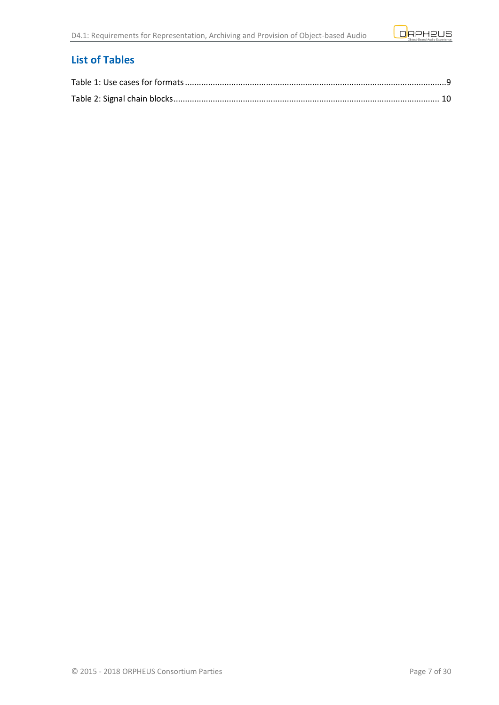

# <span id="page-6-0"></span>**List of Tables**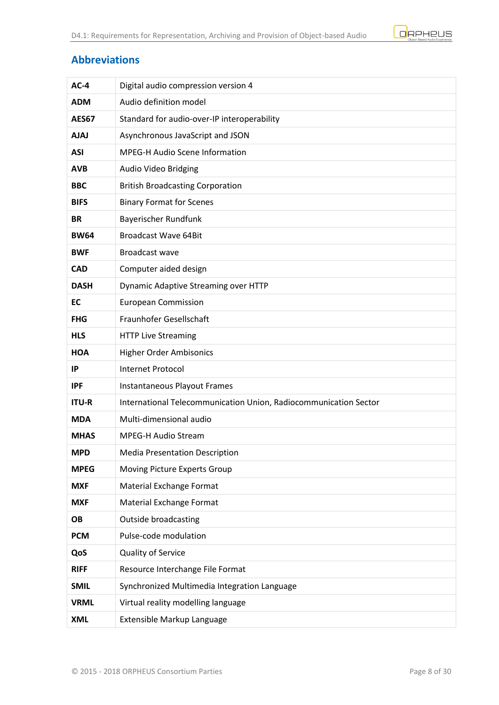

### <span id="page-7-0"></span>**Abbreviations**

| $AC-4$       | Digital audio compression version 4                              |
|--------------|------------------------------------------------------------------|
| <b>ADM</b>   | Audio definition model                                           |
| <b>AES67</b> | Standard for audio-over-IP interoperability                      |
| <b>AJAJ</b>  | Asynchronous JavaScript and JSON                                 |
| <b>ASI</b>   | <b>MPEG-H Audio Scene Information</b>                            |
| <b>AVB</b>   | Audio Video Bridging                                             |
| <b>BBC</b>   | <b>British Broadcasting Corporation</b>                          |
| <b>BIFS</b>  | <b>Binary Format for Scenes</b>                                  |
| <b>BR</b>    | Bayerischer Rundfunk                                             |
| <b>BW64</b>  | <b>Broadcast Wave 64Bit</b>                                      |
| <b>BWF</b>   | Broadcast wave                                                   |
| <b>CAD</b>   | Computer aided design                                            |
| <b>DASH</b>  | Dynamic Adaptive Streaming over HTTP                             |
| EC           | <b>European Commission</b>                                       |
| <b>FHG</b>   | Fraunhofer Gesellschaft                                          |
| <b>HLS</b>   | <b>HTTP Live Streaming</b>                                       |
| <b>HOA</b>   | <b>Higher Order Ambisonics</b>                                   |
| IP           | <b>Internet Protocol</b>                                         |
| <b>IPF</b>   | Instantaneous Playout Frames                                     |
| <b>ITU-R</b> | International Telecommunication Union, Radiocommunication Sector |
| <b>MDA</b>   | Multi-dimensional audio                                          |
| <b>MHAS</b>  | <b>MPEG-H Audio Stream</b>                                       |
| <b>MPD</b>   | <b>Media Presentation Description</b>                            |
| <b>MPEG</b>  | Moving Picture Experts Group                                     |
| <b>MXF</b>   | Material Exchange Format                                         |
| <b>MXF</b>   | Material Exchange Format                                         |
| <b>OB</b>    | <b>Outside broadcasting</b>                                      |
| <b>PCM</b>   | Pulse-code modulation                                            |
| QoS          | Quality of Service                                               |
| <b>RIFF</b>  | Resource Interchange File Format                                 |
| <b>SMIL</b>  | Synchronized Multimedia Integration Language                     |
| <b>VRML</b>  | Virtual reality modelling language                               |
| <b>XML</b>   | Extensible Markup Language                                       |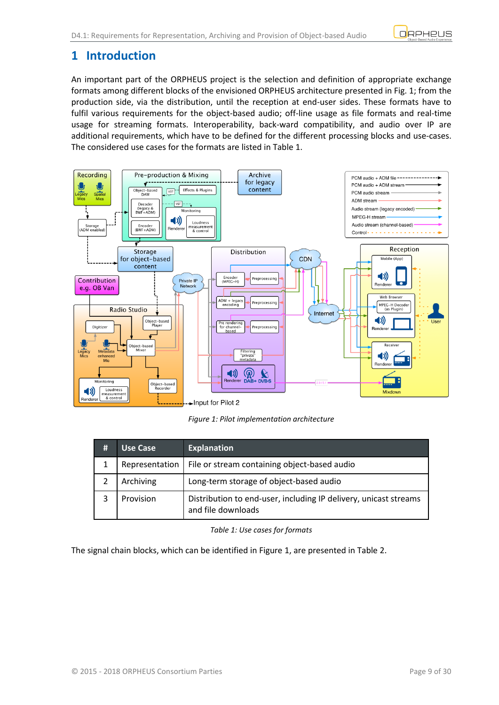

# <span id="page-8-0"></span>**1 Introduction**

An important part of the ORPHEUS project is the selection and definition of appropriate exchange formats among different blocks of the envisioned ORPHEUS architecture presented in Fig. 1; from the production side, via the distribution, until the reception at end-user sides. These formats have to fulfil various requirements for the object-based audio; off-line usage as file formats and real-time usage for streaming formats. Interoperability, back-ward compatibility, and audio over IP are additional requirements, which have to be defined for the different processing blocks and use-cases. The considered use cases for the formats are listed i[n Table 1.](#page-8-2)



*Figure 1: Pilot implementation architecture*

<span id="page-8-1"></span>

| # | Use Case       | <b>Explanation</b>                                                                     |
|---|----------------|----------------------------------------------------------------------------------------|
|   | Representation | File or stream containing object-based audio                                           |
|   | Archiving      | Long-term storage of object-based audio                                                |
|   | Provision      | Distribution to end-user, including IP delivery, unicast streams<br>and file downloads |

#### *Table 1: Use cases for formats*

<span id="page-8-2"></span>The signal chain blocks, which can be identified in [Figure 1,](#page-8-1) are presented in [Table 2.](#page-9-0)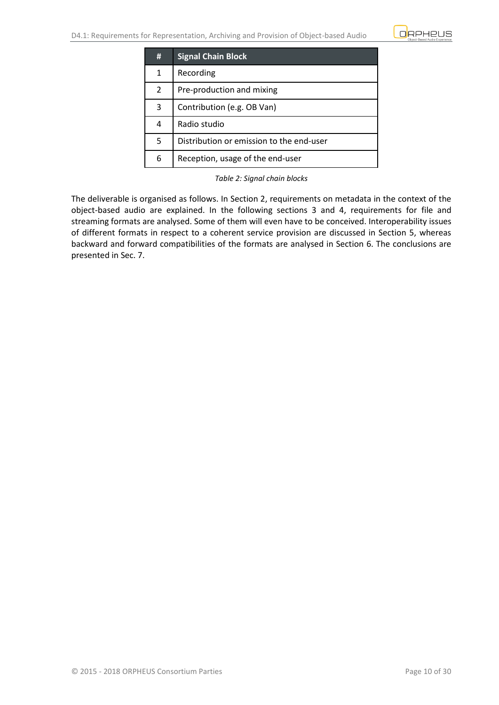

| #              | <b>Signal Chain Block</b>                |
|----------------|------------------------------------------|
| 1              | Recording                                |
| $\overline{2}$ | Pre-production and mixing                |
| 3              | Contribution (e.g. OB Van)               |
| 4              | Radio studio                             |
| 5              | Distribution or emission to the end-user |
| 6              | Reception, usage of the end-user         |

*Table 2: Signal chain blocks*

<span id="page-9-0"></span>The deliverable is organised as follows. In Section 2, requirements on metadata in the context of the object-based audio are explained. In the following sections 3 and 4, requirements for file and streaming formats are analysed. Some of them will even have to be conceived. Interoperability issues of different formats in respect to a coherent service provision are discussed in Section 5, whereas backward and forward compatibilities of the formats are analysed in Section 6. The conclusions are presented in Sec. 7.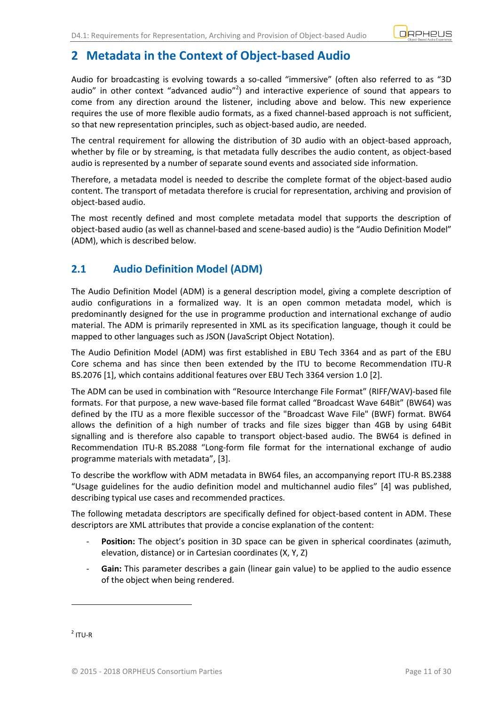

# <span id="page-10-0"></span>**2 Metadata in the Context of Object-based Audio**

Audio for broadcasting is evolving towards a so-called "immersive" (often also referred to as "3D audio" in other context "advanced audio"<sup>2</sup>) and interactive experience of sound that appears to come from any direction around the listener, including above and below. This new experience requires the use of more flexible audio formats, as a fixed channel-based approach is not sufficient, so that new representation principles, such as object-based audio, are needed.

The central requirement for allowing the distribution of 3D audio with an object-based approach, whether by file or by streaming, is that metadata fully describes the audio content, as object-based audio is represented by a number of separate sound events and associated side information.

Therefore, a metadata model is needed to describe the complete format of the object-based audio content. The transport of metadata therefore is crucial for representation, archiving and provision of object-based audio.

The most recently defined and most complete metadata model that supports the description of object-based audio (as well as channel-based and scene-based audio) is the "Audio Definition Model" (ADM), which is described below.

# <span id="page-10-1"></span>**2.1 Audio Definition Model (ADM)**

The Audio Definition Model (ADM) is a general description model, giving a complete description of audio configurations in a formalized way. It is an open common metadata model, which is predominantly designed for the use in programme production and international exchange of audio material. The ADM is primarily represented in XML as its specification language, though it could be mapped to other languages such as JSON (JavaScript Object Notation).

The Audio Definition Model (ADM) was first established in EBU Tech 3364 and as part of the EBU Core schema and has since then been extended by the ITU to become Recommendation ITU-R BS.2076 [1], which contains additional features over EBU Tech 3364 version 1.0 [2].

The ADM can be used in combination with "[Resource Interchange File Format](https://de.wikipedia.org/wiki/Resource_Interchange_File_Format)" (RIFF/WAV)-based file formats. For that purpose, a new wave-based file format called "Broadcast Wave 64Bit" (BW64) was defined by the ITU as a more flexible successor of the "Broadcast Wave File" (BWF) format. BW64 allows the definition of a high number of tracks and file sizes bigger than 4GB by using 64Bit signalling and is therefore also capable to transport object-based audio. The BW64 is defined in Recommendation ITU-R BS.2088 "Long-form file format for the international exchange of audio programme materials with metadata", [3].

To describe the workflow with ADM metadata in BW64 files, an accompanying report ITU-R BS.2388 "Usage guidelines for the audio definition model and multichannel audio files" [4] was published, describing typical use cases and recommended practices.

The following metadata descriptors are specifically defined for object-based content in ADM. These descriptors are XML attributes that provide a concise explanation of the content:

- Position: The object's position in 3D space can be given in spherical coordinates (azimuth, elevation, distance) or in Cartesian coordinates (X, Y, Z)
- Gain: This parameter describes a gain (linear gain value) to be applied to the audio essence of the object when being rendered.

 $2$  ITU-R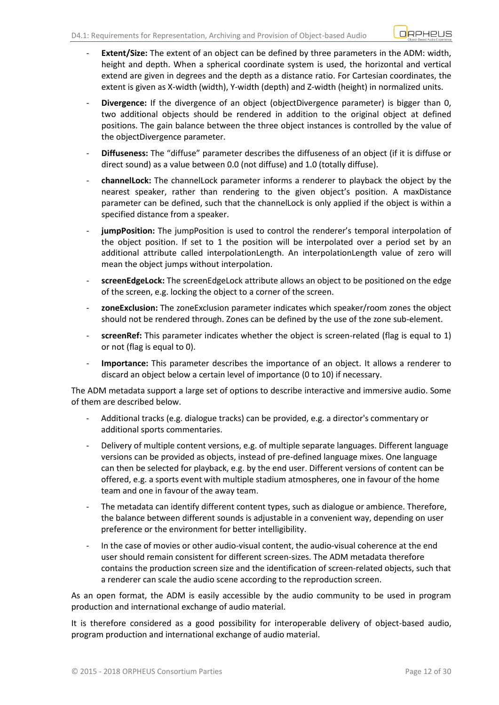- **Extent/Size:** The extent of an object can be defined by three parameters in the ADM: width, height and depth. When a spherical coordinate system is used, the horizontal and vertical extend are given in degrees and the depth as a distance ratio. For Cartesian coordinates, the extent is given as X-width (width), Y-width (depth) and Z-width (height) in normalized units.
- **Divergence:** If the divergence of an object (objectDivergence parameter) is bigger than 0, two additional objects should be rendered in addition to the original object at defined positions. The gain balance between the three object instances is controlled by the value of the objectDivergence parameter.
- **Diffuseness:** The "diffuse" parameter describes the diffuseness of an object (if it is diffuse or direct sound) as a value between 0.0 (not diffuse) and 1.0 (totally diffuse).
- **channelLock:** The channelLock parameter informs a renderer to playback the object by the nearest speaker, rather than rendering to the given object's position. A maxDistance parameter can be defined, such that the channelLock is only applied if the object is within a specified distance from a speaker.
- jumpPosition: The jumpPosition is used to control the renderer's temporal interpolation of the object position. If set to 1 the position will be interpolated over a period set by an additional attribute called interpolationLength. An interpolationLength value of zero will mean the object jumps without interpolation.
- screenEdgeLock: The screenEdgeLock attribute allows an object to be positioned on the edge of the screen, e.g. locking the object to a corner of the screen.
- **zoneExclusion:** The zoneExclusion parameter indicates which speaker/room zones the object should not be rendered through. Zones can be defined by the use of the zone sub-element.
- screenRef: This parameter indicates whether the object is screen-related (flag is equal to 1) or not (flag is equal to 0).
- **Importance:** This parameter describes the importance of an object. It allows a renderer to discard an object below a certain level of importance (0 to 10) if necessary.

The ADM metadata support a large set of options to describe interactive and immersive audio. Some of them are described below.

- Additional tracks (e.g. dialogue tracks) can be provided, e.g. a director's commentary or additional sports commentaries.
- Delivery of multiple content versions, e.g. of multiple separate languages. Different language versions can be provided as objects, instead of pre-defined language mixes. One language can then be selected for playback, e.g. by the end user. Different versions of content can be offered, e.g. a sports event with multiple stadium atmospheres, one in favour of the home team and one in favour of the away team.
- The metadata can identify different content types, such as dialogue or ambience. Therefore, the balance between different sounds is adjustable in a convenient way, depending on user preference or the environment for better intelligibility.
- In the case of movies or other audio-visual content, the audio-visual coherence at the end user should remain consistent for different screen-sizes. The ADM metadata therefore contains the production screen size and the identification of screen-related objects, such that a renderer can scale the audio scene according to the reproduction screen.

As an open format, the ADM is easily accessible by the audio community to be used in program production and international exchange of audio material.

It is therefore considered as a good possibility for interoperable delivery of object-based audio, program production and international exchange of audio material.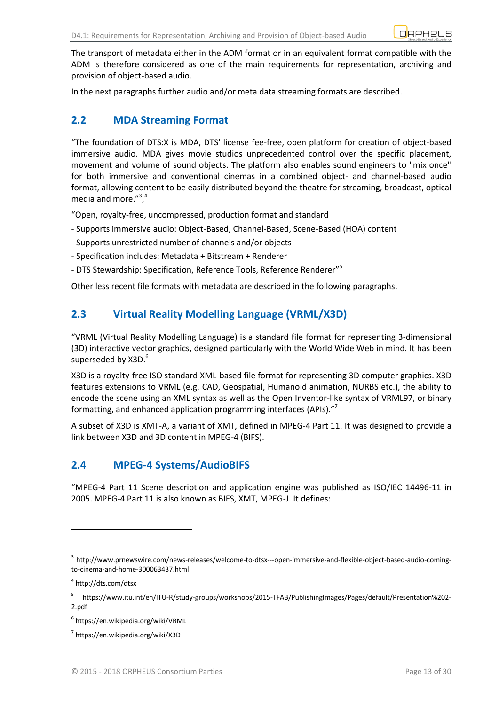The transport of metadata either in the ADM format or in an equivalent format compatible with the ADM is therefore considered as one of the main requirements for representation, archiving and provision of object-based audio.

In the next paragraphs further audio and/or meta data streaming formats are described.

# <span id="page-12-0"></span>**2.2 MDA Streaming Format**

"The foundation of DTS:X is MDA, DTS' license fee-free, open platform for creation of object-based immersive audio. MDA gives movie studios unprecedented control over the specific placement, movement and volume of sound objects. The platform also enables sound engineers to "mix once" for both immersive and conventional cinemas in a combined object- and channel-based audio format, allowing content to be easily distributed beyond the theatre for streaming, broadcast, optical media and more."<sup>3</sup>,<sup>4</sup>

"Open, royalty-free, uncompressed, production format and standard

- Supports immersive audio: Object-Based, Channel-Based, Scene-Based (HOA) content
- Supports unrestricted number of channels and/or objects
- Specification includes: Metadata + Bitstream + Renderer
- DTS Stewardship: Specification, Reference Tools, Reference Renderer"<sup>5</sup>

Other less recent file formats with metadata are described in the following paragraphs.

# <span id="page-12-1"></span>**2.3 Virtual Reality Modelling Language (VRML/X3D)**

"VRML (Virtual Reality Modelling Language) is a standard [file format](https://en.wikipedia.org/wiki/File_format) for representing [3-dimensional](https://en.wikipedia.org/wiki/3-D_computer_graphics) (3D) interactive [vector graphics,](https://en.wikipedia.org/wiki/Vector_graphics) designed particularly with the [World Wide Web](https://en.wikipedia.org/wiki/World_Wide_Web) in mind. It has been superseded by [X3D.](https://en.wikipedia.org/wiki/X3D)<sup>6</sup>

X3D is a [royalty-free](https://en.wikipedia.org/wiki/Royalty-free) [ISO standard](https://en.wikipedia.org/wiki/ISO_standard) [XML-](https://en.wikipedia.org/wiki/XML)based [file format](https://en.wikipedia.org/wiki/File_format) for representing [3D computer graphics.](https://en.wikipedia.org/wiki/3D_computer_graphics) X3D features [extensions](https://en.wikipedia.org/wiki/Software_extension) to VRML (e.g. [CAD,](https://en.wikipedia.org/wiki/CAD) [Geospatial,](https://en.wikipedia.org/wiki/Geospatial) [Humanoid animation,](https://en.wikipedia.org/wiki/Humanoid_animation) [NURBS](https://en.wikipedia.org/wiki/NURBS) etc.), the ability to encode the scene using an XML [syntax](https://en.wikipedia.org/wiki/Syntax) as well as the [Open Inventor-](https://en.wikipedia.org/wiki/Open_Inventor)like syntax of VRML97, or [binary](https://en.wikipedia.org/wiki/Binary_file) formatting, and enhanced application programming interfaces [\(APIs\)](https://en.wikipedia.org/wiki/Application_programming_interface)."<sup>7</sup>

A subset of X3D is XMT-A, a variant of [XMT,](https://en.wikipedia.org/wiki/Extensible_MPEG-4_Textual_Format) defined in [MPEG-4](https://en.wikipedia.org/wiki/MPEG-4) [Part 11.](https://en.wikipedia.org/wiki/MPEG-4_Part_11) It was designed to provide a link between X3D and 3D content in MPEG-4 (BIFS).

## <span id="page-12-2"></span>**2.4 MPEG-4 Systems/AudioBIFS**

"MPEG-4 Part 11 Scene description and application engine was published as [ISO/](https://en.wikipedia.org/wiki/International_Organization_for_Standardization)IEC 14496-11 in 2005. MPEG-4 Part 11 is also known as BIFS, XMT, MPEG-J. It defines:

-

<sup>&</sup>lt;sup>3</sup> http://www.prnewswire.com/news-releases/welcome-to-dtsx---open-immersive-and-flexible-object-based-audio-comingto-cinema-and-home-300063437.html

<sup>4</sup> http://dts.com/dtsx

<sup>5</sup> https://www.itu.int/en/ITU-R/study-groups/workshops/2015-TFAB/PublishingImages/Pages/default/Presentation%202- 2.pdf

<sup>6</sup> https://en.wikipedia.org/wiki/VRML

<sup>7</sup> https://en.wikipedia.org/wiki/X3D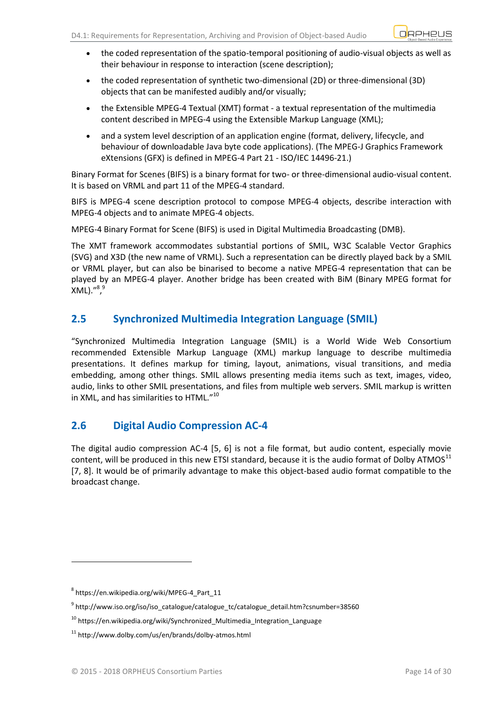- the coded representation of the spatio-temporal positioning of audio-visual objects as well as their behaviour in response to interaction (scene description);
- the coded representation of synthetic two-dimensional (2D) or three-dimensional (3D) objects that can be manifested audibly and/or visually;
- the [Extensible MPEG-4 Textual \(XMT\) format](https://en.wikipedia.org/wiki/Extensible_MPEG-4_Textual_Format) a textual representation of the multimedia content described in MPEG-4 using the [Extensible Markup Language](https://en.wikipedia.org/wiki/Extensible_Markup_Language) (XML);
- and a system level description of an application engine (format, delivery, lifecycle, and behaviour of downloadable [Java](https://en.wikipedia.org/wiki/Java_%28programming_language%29) byte code applications). (The MPEG-J Graphics Framework eXtensions (GFX) is defined in MPEG-4 Part 21 - ISO/IEC 14496-21.)

Binary Format for Scenes (BIFS) is a [binary](https://en.wikipedia.org/wiki/Binary_file) format for two- or three-dimensional audio-visual content. It is based o[n VRML](https://en.wikipedia.org/wiki/VRML) and part 11 of the [MPEG-4](https://en.wikipedia.org/wiki/MPEG-4) standard.

BIFS is MPEG-4 scene description protocol to compose MPEG-4 objects, describe interaction with MPEG-4 objects and to animate MPEG-4 objects.

MPEG-4 Binary Format for Scene (BIFS) is used in [Digital Multimedia Broadcasting](https://en.wikipedia.org/wiki/Digital_Multimedia_Broadcasting) (DMB).

The XMT framework accommodates substantial portions of [SMIL,](https://en.wikipedia.org/wiki/Synchronized_Multimedia_Integration_Language) W3C [Scalable Vector Graphics](https://en.wikipedia.org/wiki/Scalable_Vector_Graphics) (SVG) and [X3D](https://en.wikipedia.org/wiki/X3D) (the new name of VRML). Such a representation can be directly played back by a SMIL or VRML player, but can also be binarised to become a native MPEG-4 representation that can be played by an MPEG-4 player. Another bridge has been created with [BiM](https://en.wikipedia.org/wiki/BiM) (Binary MPEG format for .<sup>"8,9</sup>

# <span id="page-13-0"></span>**2.5 Synchronized Multimedia Integration Language (SMIL)**

"Synchronized Multimedia Integration Language (SMIL) is a [World Wide Web Consortium](https://en.wikipedia.org/wiki/World_Wide_Web_Consortium) [recommended](https://en.wikipedia.org/wiki/W3C_recommendation) [Extensible Markup Language](https://en.wikipedia.org/wiki/Extensible_Markup_Language) (XML) [markup language](https://en.wikipedia.org/wiki/Markup_language) to describe [multimedia](https://en.wikipedia.org/wiki/Multimedia) presentations. It defines markup for timing, layout, animations, visual transitions, and media embedding, among other things. SMIL allows presenting media items such as text, images, video, audio, links to other SMIL presentations, and files from multiple web servers. SMIL markup is written in XML, and has similarities t[o HTML](https://en.wikipedia.org/wiki/HTML)."<sup>10</sup>

# <span id="page-13-1"></span>**2.6 Digital Audio Compression AC-4**

The digital audio compression AC-4 [5, 6] is not a file format, but audio content, especially movie content, will be produced in this new ETSI standard, because it is the audio format of Dolby ATMOS $^{11}$ [7, 8]. It would be of primarily advantage to make this object-based audio format compatible to the broadcast change.

-

<sup>8</sup> https://en.wikipedia.org/wiki/MPEG-4\_Part\_11

<sup>&</sup>lt;sup>9</sup> http://www.iso.org/iso/iso\_catalogue/catalogue\_tc/catalogue\_detail.htm?csnumber=38560

<sup>&</sup>lt;sup>10</sup> https://en.wikipedia.org/wiki/Synchronized\_Multimedia\_Integration\_Language

<sup>&</sup>lt;sup>11</sup> http://www.dolby.com/us/en/brands/dolby-atmos.html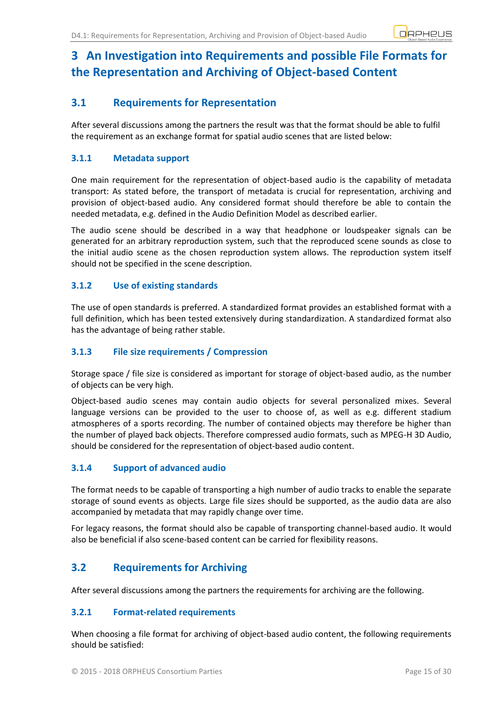# <span id="page-14-0"></span>**3 An Investigation into Requirements and possible File Formats for the Representation and Archiving of Object-based Content**

# <span id="page-14-1"></span>**3.1 Requirements for Representation**

After several discussions among the partners the result was that the format should be able to fulfil the requirement as an exchange format for spatial audio scenes that are listed below:

### <span id="page-14-2"></span>**3.1.1 Metadata support**

One main requirement for the representation of object-based audio is the capability of metadata transport: As stated before, the transport of metadata is crucial for representation, archiving and provision of object-based audio. Any considered format should therefore be able to contain the needed metadata, e.g. defined in the Audio Definition Model as described earlier.

The audio scene should be described in a way that headphone or loudspeaker signals can be generated for an arbitrary reproduction system, such that the reproduced scene sounds as close to the initial audio scene as the chosen reproduction system allows. The reproduction system itself should not be specified in the scene description.

### <span id="page-14-3"></span>**3.1.2 Use of existing standards**

The use of open standards is preferred. A standardized format provides an established format with a full definition, which has been tested extensively during standardization. A standardized format also has the advantage of being rather stable.

### <span id="page-14-4"></span>**3.1.3 File size requirements / Compression**

Storage space / file size is considered as important for storage of object-based audio, as the number of objects can be very high.

Object-based audio scenes may contain audio objects for several personalized mixes. Several language versions can be provided to the user to choose of, as well as e.g. different stadium atmospheres of a sports recording. The number of contained objects may therefore be higher than the number of played back objects. Therefore compressed audio formats, such as MPEG-H 3D Audio, should be considered for the representation of object-based audio content.

### <span id="page-14-5"></span>**3.1.4 Support of advanced audio**

The format needs to be capable of transporting a high number of audio tracks to enable the separate storage of sound events as objects. Large file sizes should be supported, as the audio data are also accompanied by metadata that may rapidly change over time.

For legacy reasons, the format should also be capable of transporting channel-based audio. It would also be beneficial if also scene-based content can be carried for flexibility reasons.

## <span id="page-14-6"></span>**3.2 Requirements for Archiving**

After several discussions among the partners the requirements for archiving are the following.

### <span id="page-14-7"></span>**3.2.1 Format-related requirements**

When choosing a file format for archiving of object-based audio content, the following requirements should be satisfied: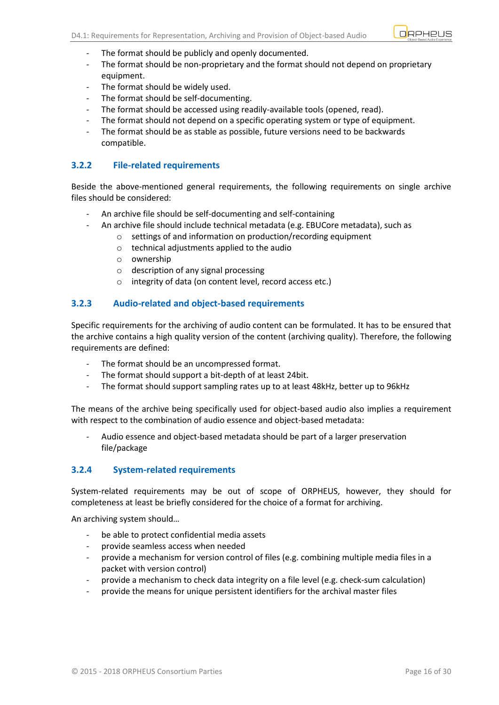

- The format should be publicly and openly documented.
- The format should be non-proprietary and the format should not depend on proprietary equipment.
- The format should be widely used.
- The format should be self-documenting.
- The format should be accessed using readily-available tools (opened, read).
- The format should not depend on a specific operating system or type of equipment.
- The format should be as stable as possible, future versions need to be backwards compatible.

#### <span id="page-15-0"></span>**3.2.2 File-related requirements**

Beside the above-mentioned general requirements, the following requirements on single archive files should be considered:

- An archive file should be self-documenting and self-containing
- An archive file should include technical metadata (e.g. EBUCore metadata), such as
	- o settings of and information on production/recording equipment
	- o technical adjustments applied to the audio
	- o ownership
	- o description of any signal processing
	- o integrity of data (on content level, record access etc.)

#### <span id="page-15-1"></span>**3.2.3 Audio-related and object-based requirements**

Specific requirements for the archiving of audio content can be formulated. It has to be ensured that the archive contains a high quality version of the content (archiving quality). Therefore, the following requirements are defined:

- The format should be an uncompressed format.
- The format should support a bit-depth of at least 24bit.
- The format should support sampling rates up to at least 48kHz, better up to 96kHz

The means of the archive being specifically used for object-based audio also implies a requirement with respect to the combination of audio essence and object-based metadata:

- Audio essence and object-based metadata should be part of a larger preservation file/package

#### <span id="page-15-2"></span>**3.2.4 System-related requirements**

System-related requirements may be out of scope of ORPHEUS, however, they should for completeness at least be briefly considered for the choice of a format for archiving.

An archiving system should…

- be able to protect confidential media assets
- provide seamless access when needed
- provide a mechanism for version control of files (e.g. combining multiple media files in a packet with version control)
- provide a mechanism to check data integrity on a file level (e.g. check-sum calculation)
- provide the means for unique persistent identifiers for the archival master files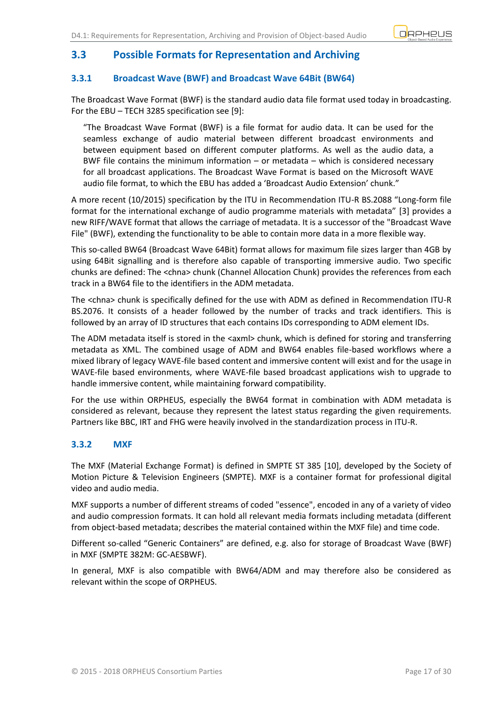

## <span id="page-16-0"></span>**3.3 Possible Formats for Representation and Archiving**

### <span id="page-16-1"></span>**3.3.1 Broadcast Wave (BWF) and Broadcast Wave 64Bit (BW64)**

The Broadcast Wave Format (BWF) is the standard audio data file format used today in broadcasting. For the EBU – TECH 3285 specification see [9]:

"The Broadcast Wave Format (BWF) is a file format for audio data. It can be used for the seamless exchange of audio material between different broadcast environments and between equipment based on different computer platforms. As well as the audio data, a BWF file contains the minimum information – or metadata – which is considered necessary for all broadcast applications. The Broadcast Wave Format is based on the Microsoft WAVE audio file format, to which the EBU has added a 'Broadcast Audio Extension' chunk."

A more recent (10/2015) specification by the ITU in Recommendation ITU-R BS.2088 "Long-form file format for the international exchange of audio programme materials with metadata" [3] provides a new RIFF/WAVE format that allows the carriage of metadata. It is a successor of the "Broadcast Wave File" (BWF), extending the functionality to be able to contain more data in a more flexible way.

This so-called BW64 (Broadcast Wave 64Bit) format allows for maximum file sizes larger than 4GB by using 64Bit signalling and is therefore also capable of transporting immersive audio. Two specific chunks are defined: The <chna> chunk (Channel Allocation Chunk) provides the references from each track in a BW64 file to the identifiers in the ADM metadata.

The <chna> chunk is specifically defined for the use with ADM as defined in Recommendation ITU-R BS.2076. It consists of a header followed by the number of tracks and track identifiers. This is followed by an array of ID structures that each contains IDs corresponding to ADM element IDs.

The ADM metadata itself is stored in the <axml> chunk, which is defined for storing and transferring metadata as XML. The combined usage of ADM and BW64 enables file-based workflows where a mixed library of legacy WAVE-file based content and immersive content will exist and for the usage in WAVE-file based environments, where WAVE-file based broadcast applications wish to upgrade to handle immersive content, while maintaining forward compatibility.

For the use within ORPHEUS, especially the BW64 format in combination with ADM metadata is considered as relevant, because they represent the latest status regarding the given requirements. Partners like BBC, IRT and FHG were heavily involved in the standardization process in ITU-R.

#### <span id="page-16-2"></span>**3.3.2 MXF**

The MXF (Material Exchange Format) is defined in SMPTE ST 385 [10], developed by the Society of Motion Picture & Television Engineers (SMPTE). MXF is a container format for professional digital video and audio media.

MXF supports a number of different streams of coded "essence", encoded in any of a variety of video and audio compression formats. It can hold all relevant media formats including metadata (different from object-based metadata; describes the material contained within the MXF file) and time code.

Different so-called "Generic Containers" are defined, e.g. also for storage of Broadcast Wave (BWF) in MXF (SMPTE 382M: GC-AESBWF).

In general, MXF is also compatible with BW64/ADM and may therefore also be considered as relevant within the scope of ORPHEUS.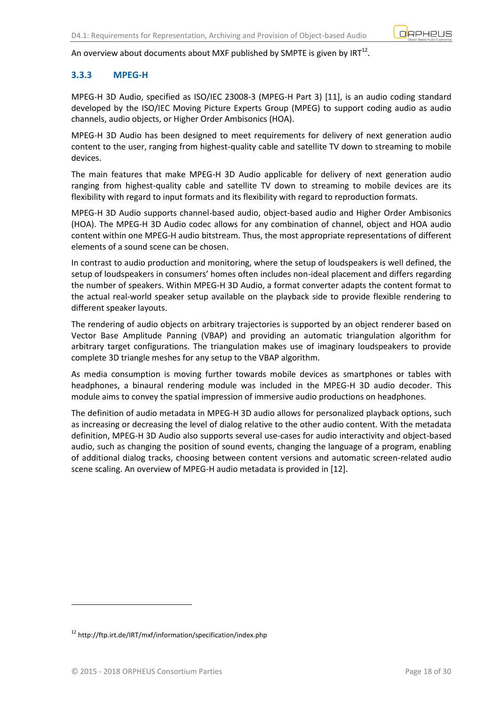

### An overview about documents about MXF published by SMPTE is given by IRT $^{12}$ .

### <span id="page-17-0"></span>**3.3.3 MPEG-H**

MPEG-H 3D Audio, specified as [ISO](https://en.wikipedia.org/wiki/International_Organization_for_Standardization)[/IEC](https://en.wikipedia.org/wiki/International_Electrotechnical_Commission) 23008-3 [\(MPEG-H](https://en.wikipedia.org/wiki/MPEG-H) Part 3) [11], is an [audio coding standard](https://en.wikipedia.org/wiki/Audio_coding_standard) developed by the ISO/IEC [Moving Picture Experts Group](https://en.wikipedia.org/wiki/Moving_Picture_Experts_Group) (MPEG) to support coding audio as audio channels, audio objects, or Higher Order Ambisonics (HOA).

MPEG-H 3D Audio has been designed to meet requirements for delivery of next generation audio content to the user, ranging from highest-quality cable and satellite TV down to streaming to mobile devices.

The main features that make MPEG-H 3D Audio applicable for delivery of next generation audio ranging from highest-quality cable and satellite TV down to streaming to mobile devices are its flexibility with regard to input formats and its flexibility with regard to reproduction formats.

MPEG-H 3D Audio supports channel-based audio, object-based audio and Higher Order Ambisonics (HOA). The MPEG-H 3D Audio codec allows for any combination of channel, object and HOA audio content within one MPEG-H audio bitstream. Thus, the most appropriate representations of different elements of a sound scene can be chosen.

In contrast to audio production and monitoring, where the setup of loudspeakers is well defined, the setup of loudspeakers in consumers' homes often includes non-ideal placement and differs regarding the number of speakers. Within MPEG-H 3D Audio, a format converter adapts the content format to the actual real-world speaker setup available on the playback side to provide flexible rendering to different speaker layouts.

The rendering of audio objects on arbitrary trajectories is supported by an object renderer based on Vector Base Amplitude Panning (VBAP) and providing an automatic triangulation algorithm for arbitrary target configurations. The triangulation makes use of imaginary loudspeakers to provide complete 3D triangle meshes for any setup to the VBAP algorithm.

As media consumption is moving further towards mobile devices as smartphones or tables with headphones, a binaural rendering module was included in the MPEG-H 3D audio decoder. This module aims to convey the spatial impression of immersive audio productions on headphones.

The definition of audio metadata in MPEG-H 3D audio allows for personalized playback options, such as increasing or decreasing the level of dialog relative to the other audio content. With the metadata definition, MPEG-H 3D Audio also supports several use-cases for audio interactivity and object-based audio, such as changing the position of sound events, changing the language of a program, enabling of additional dialog tracks, choosing between content versions and automatic screen-related audio scene scaling. An overview of MPEG-H audio metadata is provided in [12].

<sup>&</sup>lt;sup>12</sup> http://ftp.irt.de/IRT/mxf/information/specification/index.php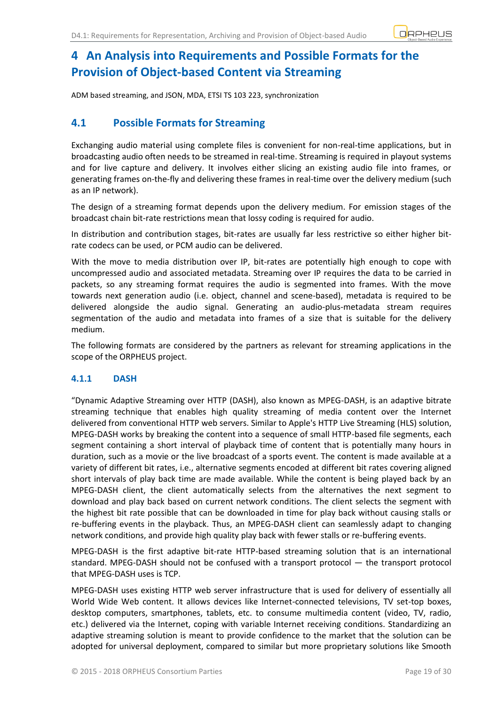# <span id="page-18-0"></span>**4 An Analysis into Requirements and Possible Formats for the Provision of Object-based Content via Streaming**

ADM based streaming, and JSON, MDA, ETSI TS 103 223, synchronization

## <span id="page-18-1"></span>**4.1 Possible Formats for Streaming**

Exchanging audio material using complete files is convenient for non-real-time applications, but in broadcasting audio often needs to be streamed in real-time. Streaming is required in playout systems and for live capture and delivery. It involves either slicing an existing audio file into frames, or generating frames on-the-fly and delivering these frames in real-time over the delivery medium (such as an IP network).

The design of a streaming format depends upon the delivery medium. For emission stages of the broadcast chain bit-rate restrictions mean that lossy coding is required for audio.

In distribution and contribution stages, bit-rates are usually far less restrictive so either higher bitrate codecs can be used, or PCM audio can be delivered.

With the move to media distribution over IP, bit-rates are potentially high enough to cope with uncompressed audio and associated metadata. Streaming over IP requires the data to be carried in packets, so any streaming format requires the audio is segmented into frames. With the move towards next generation audio (i.e. object, channel and scene-based), metadata is required to be delivered alongside the audio signal. Generating an audio-plus-metadata stream requires segmentation of the audio and metadata into frames of a size that is suitable for the delivery medium.

The following formats are considered by the partners as relevant for streaming applications in the scope of the ORPHEUS project.

### <span id="page-18-2"></span>**4.1.1 DASH**

"Dynamic Adaptive Streaming over HTTP (DASH), also known as MPEG-DASH, is an [adaptive bitrate](https://en.wikipedia.org/wiki/Adaptive_bitrate_streaming)  [streaming](https://en.wikipedia.org/wiki/Adaptive_bitrate_streaming) technique that enables high quality [streaming](https://en.wikipedia.org/wiki/Streaming_media) of media content over the Internet delivered from conventional [HTTP](https://en.wikipedia.org/wiki/HTTP) web servers. Similar to Apple's [HTTP Live Streaming](https://en.wikipedia.org/wiki/HTTP_Live_Streaming) (HLS) solution, MPEG-DASH works by breaking the content into a sequence of small HTTP-based file segments, each segment containing a short interval of playback time of content that is potentially many hours in duration, such as a movie or the live broadcast of a sports event. The content is made available at a variety of different bit rates, i.e., alternative segments encoded at different bit rates covering aligned short intervals of play back time are made available. While the content is being played back by an MPEG-DASH client, the client automatically selects from the alternatives the next segment to download and play back based on current network conditions. The client selects the segment with the highest bit rate possible that can be downloaded in time for play back without causing stalls or re-buffering events in the playback. Thus, an MPEG-DASH client can seamlessly adapt to changing network conditions, and provide high quality play back with fewer stalls or re-buffering events.

MPEG-DASH is the first adaptive bit-rate HTTP-based streaming solution that is an international standard. MPEG-DASH should not be confused with a transport protocol — the transport protocol that MPEG-DASH uses is TCP.

MPEG-DASH uses existing HTTP web server infrastructure that is used for delivery of essentially all World Wide Web content. It allows devices like Internet-connected televisions, TV set-top boxes, desktop computers, smartphones, tablets, etc. to consume multimedia content (video, TV, radio, etc.) delivered via the Internet, coping with variable Internet receiving conditions. Standardizing an adaptive streaming solution is meant to provide confidence to the market that the solution can be adopted for universal deployment, compared to similar but more proprietary solutions like Smooth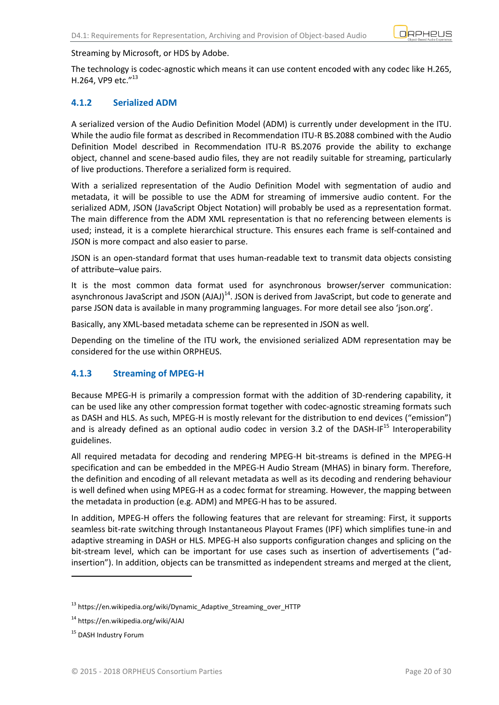

#### Streaming by Microsoft, or HDS by Adobe.

The technology is [codec-](https://en.wikipedia.org/wiki/Codec)agnostic which means it can use content encoded with any codec like [H.265,](https://en.wikipedia.org/wiki/High_Efficiency_Video_Coding) [H.264,](https://en.wikipedia.org/wiki/H.264/MPEG-4_AVC) [VP9](https://en.wikipedia.org/wiki/VP9) etc. $''^{13}$ 

### <span id="page-19-0"></span>**4.1.2 Serialized ADM**

A serialized version of the Audio Definition Model (ADM) is currently under development in the ITU. While the audio file format as described in Recommendation ITU-R BS.2088 combined with the Audio Definition Model described in Recommendation ITU-R BS.2076 provide the ability to exchange object, channel and scene-based audio files, they are not readily suitable for streaming, particularly of live productions. Therefore a serialized form is required.

With a serialized representation of the Audio Definition Model with segmentation of audio and metadata, it will be possible to use the ADM for streaming of immersive audio content. For the serialized ADM, JSON (JavaScript Object Notation) will probably be used as a representation format. The main difference from the ADM XML representation is that no referencing between elements is used; instead, it is a complete hierarchical structure. This ensures each frame is self-contained and JSON is more compact and also easier to parse.

JSON is an [open-standard](https://en.wikipedia.org/wiki/Open_standard) [format](https://en.wikipedia.org/wiki/File_format#Chunk-based_formats) that uses [human-readable](https://en.wikipedia.org/wiki/Human-readable) text to transmit data objects consisting of attribute–[value pairs.](https://en.wikipedia.org/wiki/Attribute%E2%80%93value_pair)

It is the most common data format used for asynchronous browser/server communication: asynchronous JavaScript and JSON [\(AJAJ\)](https://en.wikipedia.org/wiki/AJAJ)<sup>14</sup>. JSON is derived fro[m JavaScript,](https://en.wikipedia.org/wiki/JavaScript) but code to generate and [parse](https://en.wikipedia.org/wiki/Parse) JSON data is available in man[y programming languages](https://en.wikipedia.org/wiki/Programming_languages). For more detail see also 'json.org'.

Basically, any XML-based metadata scheme can be represented in JSON as well.

Depending on the timeline of the ITU work, the envisioned serialized ADM representation may be considered for the use within ORPHEUS.

### <span id="page-19-1"></span>**4.1.3 Streaming of MPEG-H**

Because MPEG-H is primarily a compression format with the addition of 3D-rendering capability, it can be used like any other compression format together with codec-agnostic streaming formats such as DASH and HLS. As such, MPEG-H is mostly relevant for the distribution to end devices ("emission") and is already defined as an optional audio codec in version 3.2 of the DASH-IF $^{15}$  Interoperability guidelines.

All required metadata for decoding and rendering MPEG-H bit-streams is defined in the MPEG-H specification and can be embedded in the MPEG-H Audio Stream (MHAS) in binary form. Therefore, the definition and encoding of all relevant metadata as well as its decoding and rendering behaviour is well defined when using MPEG-H as a codec format for streaming. However, the mapping between the metadata in production (e.g. ADM) and MPEG-H has to be assured.

In addition, MPEG-H offers the following features that are relevant for streaming: First, it supports seamless bit-rate switching through Instantaneous Playout Frames (IPF) which simplifies tune-in and adaptive streaming in DASH or HLS. MPEG-H also supports configuration changes and splicing on the bit-stream level, which can be important for use cases such as insertion of advertisements ("adinsertion"). In addition, objects can be transmitted as independent streams and merged at the client,

**.** 

<sup>13</sup> https://en.wikipedia.org/wiki/Dynamic\_Adaptive\_Streaming\_over\_HTTP

<sup>14</sup> https://en.wikipedia.org/wiki/AJAJ

<sup>&</sup>lt;sup>15</sup> DASH Industry Forum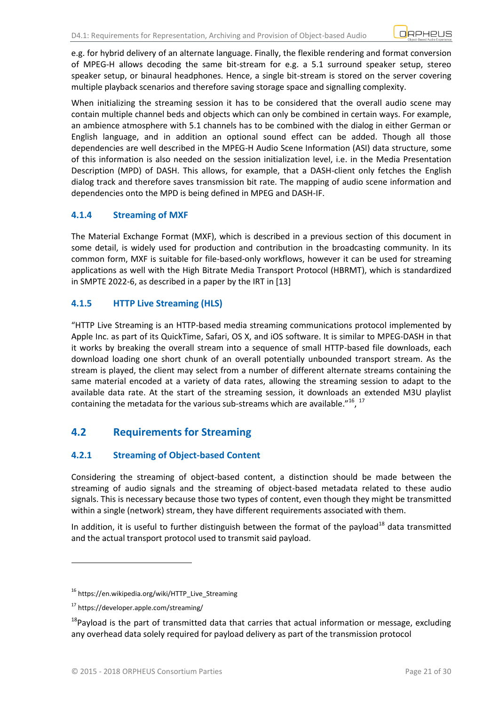e.g. for hybrid delivery of an alternate language. Finally, the flexible rendering and format conversion of MPEG-H allows decoding the same bit-stream for e.g. a 5.1 surround speaker setup, stereo speaker setup, or binaural headphones. Hence, a single bit-stream is stored on the server covering multiple playback scenarios and therefore saving storage space and signalling complexity.

When initializing the streaming session it has to be considered that the overall audio scene may contain multiple channel beds and objects which can only be combined in certain ways. For example, an ambience atmosphere with 5.1 channels has to be combined with the dialog in either German or English language, and in addition an optional sound effect can be added. Though all those dependencies are well described in the MPEG-H Audio Scene Information (ASI) data structure, some of this information is also needed on the session initialization level, i.e. in the Media Presentation Description (MPD) of DASH. This allows, for example, that a DASH-client only fetches the English dialog track and therefore saves transmission bit rate. The mapping of audio scene information and dependencies onto the MPD is being defined in MPEG and DASH-IF.

### <span id="page-20-0"></span>**4.1.4 Streaming of MXF**

The Material Exchange Format (MXF), which is described in a previous section of this document in some detail, is widely used for production and contribution in the broadcasting community. In its common form, MXF is suitable for file-based-only workflows, however it can be used for streaming applications as well with the High Bitrate Media Transport Protocol (HBRMT), which is standardized in SMPTE 2022-6, as described in a paper by the IRT in [13]

### <span id="page-20-1"></span>**4.1.5 HTTP Live Streaming (HLS)**

"HTTP Live Streaming is an [HTTP-](https://en.wikipedia.org/wiki/HTTP)based [media streaming](https://en.wikipedia.org/wiki/Media_streaming) communications protocol implemented by [Apple Inc.](https://en.wikipedia.org/wiki/Apple_Inc.) as part of its [QuickTime,](https://en.wikipedia.org/wiki/QuickTime) [Safari,](https://en.wikipedia.org/wiki/Safari_%28web_browser%29) [OS X,](https://en.wikipedia.org/wiki/OS_X) and [iOS](https://en.wikipedia.org/wiki/IOS) software. It is similar to [MPEG-DASH](https://en.wikipedia.org/wiki/Dynamic_Adaptive_Streaming_over_HTTP) in that it works by breaking the overall stream into a sequence of small HTTP-based file downloads, each download loading one short chunk of an overall potentially unbounded transport stream. As the stream is played, the client may select from a number of different alternate streams containing the same material encoded at a variety of data rates, allowing the streaming session to adapt to the available data rate. At the start of the streaming session, it downloads an [extended M3U playlist](https://en.wikipedia.org/wiki/Extended_M3U) containing the metadata for the various sub-streams which are available." $1^{16}$ ,  $1^{17}$ 

## <span id="page-20-2"></span>**4.2 Requirements for Streaming**

### <span id="page-20-3"></span>**4.2.1 Streaming of Object-based Content**

Considering the streaming of object-based content, a distinction should be made between the streaming of audio signals and the streaming of object-based metadata related to these audio signals. This is necessary because those two types of content, even though they might be transmitted within a single (network) stream, they have different requirements associated with them.

In addition, it is useful to further distinguish between the format of the payload $^{18}$  data transmitted and the actual transport protocol used to transmit said payload.

-

<sup>16</sup> https://en.wikipedia.org/wiki/HTTP\_Live\_Streaming

<sup>17</sup> https://developer.apple.com/streaming/

<sup>&</sup>lt;sup>18</sup>Payload is the part of transmitted data that carries that actual information or message, excluding any overhead data solely required for payload delivery as part of the transmission protocol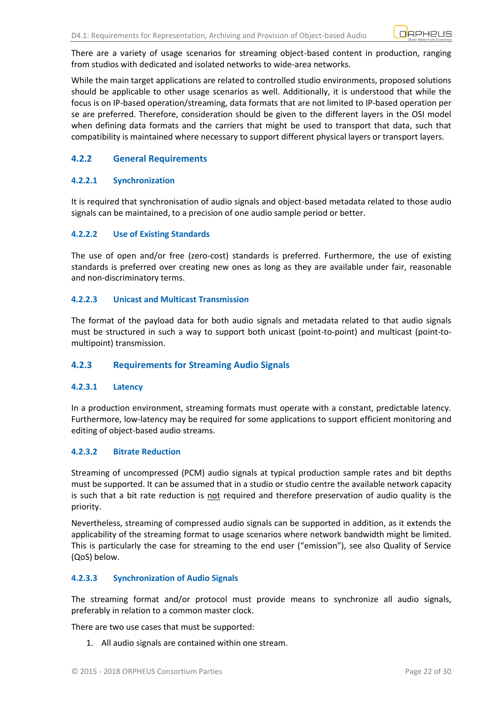There are a variety of usage scenarios for streaming object-based content in production, ranging from studios with dedicated and isolated networks to wide-area networks.

While the main target applications are related to controlled studio environments, proposed solutions should be applicable to other usage scenarios as well. Additionally, it is understood that while the focus is on IP-based operation/streaming, data formats that are not limited to IP-based operation per se are preferred. Therefore, consideration should be given to the different layers in the OSI model when defining data formats and the carriers that might be used to transport that data, such that compatibility is maintained where necessary to support different physical layers or transport layers.

### <span id="page-21-0"></span>**4.2.2 General Requirements**

#### **4.2.2.1 Synchronization**

It is required that synchronisation of audio signals and object-based metadata related to those audio signals can be maintained, to a precision of one audio sample period or better.

#### **4.2.2.2 Use of Existing Standards**

The use of open and/or free (zero-cost) standards is preferred. Furthermore, the use of existing standards is preferred over creating new ones as long as they are available under fair, reasonable and non-discriminatory terms.

#### **4.2.2.3 Unicast and Multicast Transmission**

The format of the payload data for both audio signals and metadata related to that audio signals must be structured in such a way to support both unicast (point-to-point) and multicast (point-tomultipoint) transmission.

### <span id="page-21-1"></span>**4.2.3 Requirements for Streaming Audio Signals**

#### **4.2.3.1 Latency**

In a production environment, streaming formats must operate with a constant, predictable latency. Furthermore, low-latency may be required for some applications to support efficient monitoring and editing of object-based audio streams.

#### **4.2.3.2 Bitrate Reduction**

Streaming of uncompressed (PCM) audio signals at typical production sample rates and bit depths must be supported. It can be assumed that in a studio or studio centre the available network capacity is such that a bit rate reduction is not required and therefore preservation of audio quality is the priority.

Nevertheless, streaming of compressed audio signals can be supported in addition, as it extends the applicability of the streaming format to usage scenarios where network bandwidth might be limited. This is particularly the case for streaming to the end user ("emission"), see also Quality of Service (QoS) below.

#### **4.2.3.3 Synchronization of Audio Signals**

The streaming format and/or protocol must provide means to synchronize all audio signals, preferably in relation to a common master clock.

There are two use cases that must be supported:

1. All audio signals are contained within one stream.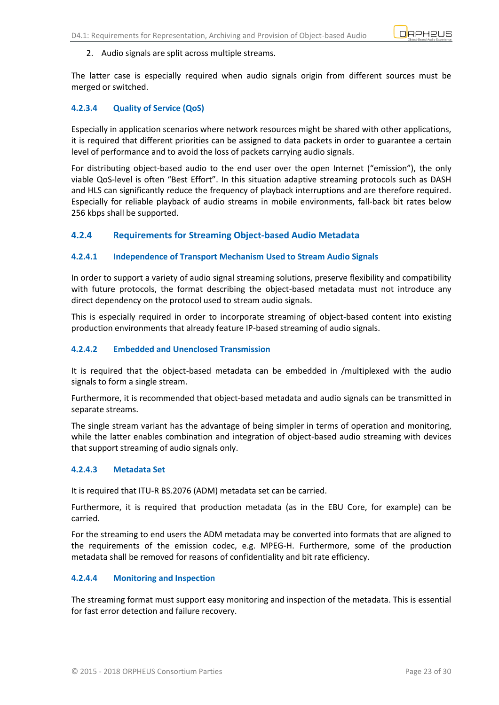

#### 2. Audio signals are split across multiple streams.

The latter case is especially required when audio signals origin from different sources must be merged or switched.

### **4.2.3.4 Quality of Service (QoS)**

Especially in application scenarios where network resources might be shared with other applications, it is required that different priorities can be assigned to data packets in order to guarantee a certain level of performance and to avoid the loss of packets carrying audio signals.

For distributing object-based audio to the end user over the open Internet ("emission"), the only viable QoS-level is often "Best Effort". In this situation adaptive streaming protocols such as DASH and HLS can significantly reduce the frequency of playback interruptions and are therefore required. Especially for reliable playback of audio streams in mobile environments, fall-back bit rates below 256 kbps shall be supported.

### <span id="page-22-0"></span>**4.2.4 Requirements for Streaming Object-based Audio Metadata**

#### **4.2.4.1 Independence of Transport Mechanism Used to Stream Audio Signals**

In order to support a variety of audio signal streaming solutions, preserve flexibility and compatibility with future protocols, the format describing the object-based metadata must not introduce any direct dependency on the protocol used to stream audio signals.

This is especially required in order to incorporate streaming of object-based content into existing production environments that already feature IP-based streaming of audio signals.

#### **4.2.4.2 Embedded and Unenclosed Transmission**

It is required that the object-based metadata can be embedded in /multiplexed with the audio signals to form a single stream.

Furthermore, it is recommended that object-based metadata and audio signals can be transmitted in separate streams.

The single stream variant has the advantage of being simpler in terms of operation and monitoring, while the latter enables combination and integration of object-based audio streaming with devices that support streaming of audio signals only.

#### **4.2.4.3 Metadata Set**

It is required that ITU-R BS.2076 (ADM) metadata set can be carried.

Furthermore, it is required that production metadata (as in the EBU Core, for example) can be carried.

For the streaming to end users the ADM metadata may be converted into formats that are aligned to the requirements of the emission codec, e.g. MPEG-H. Furthermore, some of the production metadata shall be removed for reasons of confidentiality and bit rate efficiency.

#### **4.2.4.4 Monitoring and Inspection**

The streaming format must support easy monitoring and inspection of the metadata. This is essential for fast error detection and failure recovery.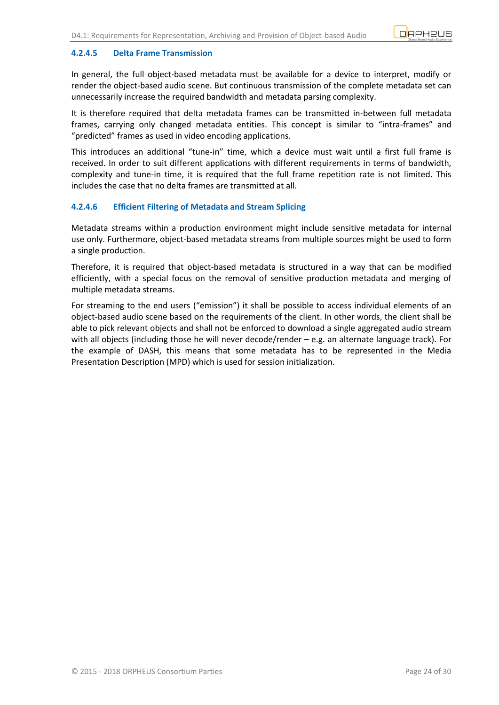#### **4.2.4.5 Delta Frame Transmission**

In general, the full object-based metadata must be available for a device to interpret, modify or render the object-based audio scene. But continuous transmission of the complete metadata set can unnecessarily increase the required bandwidth and metadata parsing complexity.

It is therefore required that delta metadata frames can be transmitted in-between full metadata frames, carrying only changed metadata entities. This concept is similar to "intra-frames" and "predicted" frames as used in video encoding applications.

This introduces an additional "tune-in" time, which a device must wait until a first full frame is received. In order to suit different applications with different requirements in terms of bandwidth, complexity and tune-in time, it is required that the full frame repetition rate is not limited. This includes the case that no delta frames are transmitted at all.

#### **4.2.4.6 Efficient Filtering of Metadata and Stream Splicing**

Metadata streams within a production environment might include sensitive metadata for internal use only. Furthermore, object-based metadata streams from multiple sources might be used to form a single production.

Therefore, it is required that object-based metadata is structured in a way that can be modified efficiently, with a special focus on the removal of sensitive production metadata and merging of multiple metadata streams.

For streaming to the end users ("emission") it shall be possible to access individual elements of an object-based audio scene based on the requirements of the client. In other words, the client shall be able to pick relevant objects and shall not be enforced to download a single aggregated audio stream with all objects (including those he will never decode/render – e.g. an alternate language track). For the example of DASH, this means that some metadata has to be represented in the Media Presentation Description (MPD) which is used for session initialization.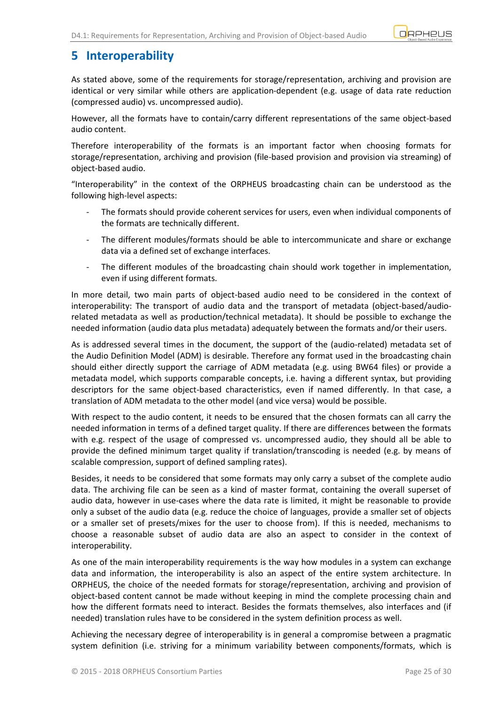

# <span id="page-24-0"></span>**5 Interoperability**

As stated above, some of the requirements for storage/representation, archiving and provision are identical or very similar while others are application-dependent (e.g. usage of data rate reduction (compressed audio) vs. uncompressed audio).

However, all the formats have to contain/carry different representations of the same object-based audio content.

Therefore interoperability of the formats is an important factor when choosing formats for storage/representation, archiving and provision (file-based provision and provision via streaming) of object-based audio.

"Interoperability" in the context of the ORPHEUS broadcasting chain can be understood as the following high-level aspects:

- The formats should provide coherent services for users, even when individual components of the formats are technically different.
- The different modules/formats should be able to intercommunicate and share or exchange data via a defined set of exchange interfaces.
- The different modules of the broadcasting chain should work together in implementation, even if using different formats.

In more detail, two main parts of object-based audio need to be considered in the context of interoperability: The transport of audio data and the transport of metadata (object-based/audiorelated metadata as well as production/technical metadata). It should be possible to exchange the needed [information](https://en.wikipedia.org/wiki/Information) (audio data plus metadata) adequately between the formats and/or their users.

As is addressed several times in the document, the support of the (audio-related) metadata set of the Audio Definition Model (ADM) is desirable. Therefore any format used in the broadcasting chain should either directly support the carriage of ADM metadata (e.g. using BW64 files) or provide a metadata model, which supports comparable concepts, i.e. having a different syntax, but providing descriptors for the same object-based characteristics, even if named differently. In that case, a translation of ADM metadata to the other model (and vice versa) would be possible.

With respect to the audio content, it needs to be ensured that the chosen formats can all carry the needed information in terms of a defined target quality. If there are differences between the formats with e.g. respect of the usage of compressed vs. uncompressed audio, they should all be able to provide the defined minimum target quality if translation/transcoding is needed (e.g. by means of scalable compression, support of defined sampling rates).

Besides, it needs to be considered that some formats may only carry a subset of the complete audio data. The archiving file can be seen as a kind of master format, containing the overall superset of audio data, however in use-cases where the data rate is limited, it might be reasonable to provide only a subset of the audio data (e.g. reduce the choice of languages, provide a smaller set of objects or a smaller set of presets/mixes for the user to choose from). If this is needed, mechanisms to choose a reasonable subset of audio data are also an aspect to consider in the context of interoperability.

As one of the main interoperability requirements is the way how modules in a system can exchange data and information, the interoperability is also an aspect of the entire system architecture. In ORPHEUS, the choice of the needed formats for storage/representation, archiving and provision of object-based content cannot be made without keeping in mind the complete processing chain and how the different formats need to interact. Besides the formats themselves, also interfaces and (if needed) translation rules have to be considered in the system definition process as well.

Achieving the necessary degree of interoperability is in general a compromise between a pragmatic system definition (i.e. striving for a minimum variability between components/formats, which is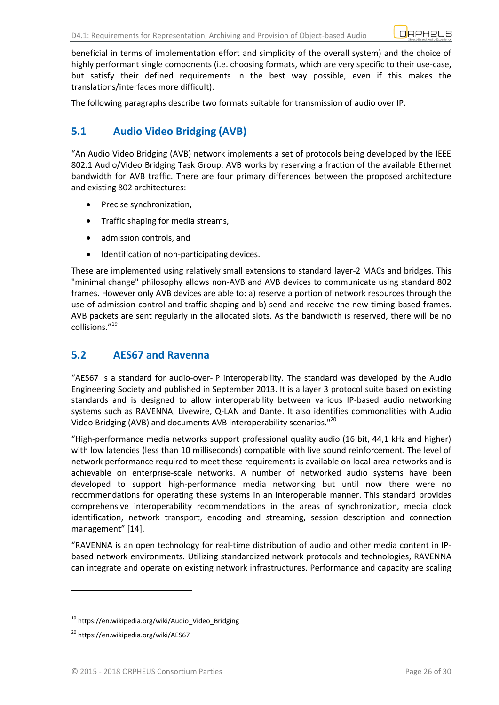beneficial in terms of implementation effort and simplicity of the overall system) and the choice of highly performant single components (i.e. choosing formats, which are very specific to their use-case, but satisfy their defined requirements in the best way possible, even if this makes the translations/interfaces more difficult).

The following paragraphs describe two formats suitable for transmission of [audio](https://en.wikipedia.org/wiki/Audio_over_IP) over IP.

# <span id="page-25-0"></span>**5.1 Audio Video Bridging (AVB)**

"An Audio Video Bridging (AVB) network implements a set of protocols being developed by the IEEE 802.1 Audio/Video Bridging Task Group. AVB works by reserving a fraction of the available Ethernet bandwidth for AVB traffic. There are four primary differences between the proposed architecture and existing 802 architectures:

- Precise synchronization,
- [Traffic shaping](https://en.wikipedia.org/wiki/Traffic_shaping) for media streams,
- admission controls, and
- $\bullet$  Identification of non-participating devices.

These are implemented using relatively small extensions to standard layer-2 MACs and bridges. This "minimal change" philosophy allows non-AVB and AVB devices to communicate using standard 802 frames. However only AVB devices are able to: a) reserve a portion of network resources through the use of admission control and traffic shaping and b) send and receive the new timing-based frames. AVB packets are sent regularly in the allocated slots. As the bandwidth is reserved, there will be no collisions."<sup>19</sup>

## <span id="page-25-1"></span>**5.2 AES67 and Ravenna**

"AES67 is a standard for audio-over-IP interoperability. The standard was developed by the [Audio](https://en.wikipedia.org/wiki/Audio_Engineering_Society)  [Engineering Society](https://en.wikipedia.org/wiki/Audio_Engineering_Society) and published in September 2013. It is a [layer 3](https://en.wikipedia.org/wiki/Layer_3) protocol suite based on existing [standards](https://en.wikipedia.org/wiki/Technical_standard) and is designed to allow interoperability between various IP-based audio networking systems such as RAVENNA, [Livewire,](https://en.wikipedia.org/wiki/Livewire_%28networking%29) [Q-LAN](https://en.wikipedia.org/wiki/Q-LAN) and [Dante.](https://en.wikipedia.org/wiki/Dante_%28networking%29) It also identifies commonalities with [Audio](https://en.wikipedia.org/wiki/Audio_Video_Bridging)  [Video Bridging](https://en.wikipedia.org/wiki/Audio_Video_Bridging) (AVB) and documents AVB interoperability scenarios."<sup>20</sup>

"High-performance media networks support professional quality audio (16 bit, 44,1 kHz and higher) with low latencies (less than 10 milliseconds) compatible with live sound reinforcement. The level of network performance required to meet these requirements is available on local-area networks and is achievable on enterprise-scale networks. A number of networked audio systems have been developed to support high-performance media networking but until now there were no recommendations for operating these systems in an interoperable manner. This standard provides comprehensive interoperability recommendations in the areas of synchronization, media clock identification, network transport, encoding and streaming, session description and connection management" [14].

"RAVENNA is an open technology for real-time distribution of audio and other media content in IPbased network environments. Utilizing standardized network protocols and technologies, RAVENNA can integrate and operate on existing network infrastructures. Performance and capacity are scaling

<sup>&</sup>lt;sup>19</sup> https://en.wikipedia.org/wiki/Audio\_Video\_Bridging

<sup>&</sup>lt;sup>20</sup> https://en.wikipedia.org/wiki/AES67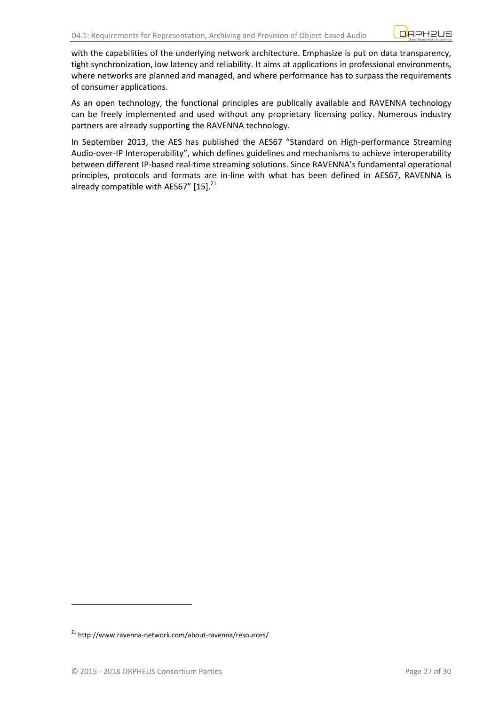with the capabilities of the underlying network architecture. Emphasize is put on data transparency, tight synchronization, low latency and reliability. It aims at applications in professional environments, where networks are planned and managed, and where performance has to surpass the requirements of consumer applications.

As an open technology, the functional principles are publically available and RAVENNA technology can be freely implemented and used without any proprietary licensing policy. Numerous industry partners are already supporting the RAVENNA technology.

In September 2013, the AES has published the AES67 "Standard on High-performance Streaming Audio-over-IP Interoperability", which defines guidelines and mechanisms to achieve interoperability between different IP-based real-time streaming solutions. Since RAVENNA's fundamental operational principles, protocols and formats are in-line with what has been defined in AES67, RAVENNA is already compatible with AES67" [15].<sup>21</sup>

<sup>&</sup>lt;sup>21</sup> http://www.ravenna-network.com/about-ravenna/resources/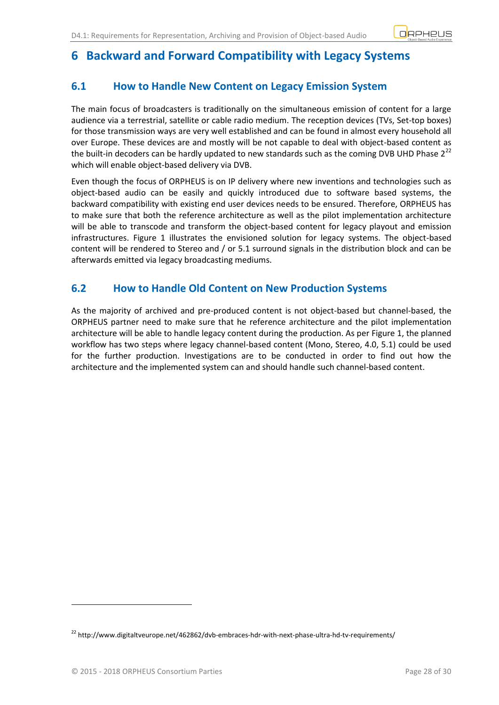# <span id="page-27-0"></span>**6 Backward and Forward Compatibility with Legacy Systems**

# <span id="page-27-1"></span>**6.1 How to Handle New Content on Legacy Emission System**

The main focus of broadcasters is traditionally on the simultaneous emission of content for a large audience via a terrestrial, satellite or cable radio medium. The reception devices (TVs, Set-top boxes) for those transmission ways are very well established and can be found in almost every household all over Europe. These devices are and mostly will be not capable to deal with object-based content as the built-in decoders can be hardly updated to new standards such as the coming DVB UHD Phase  $2^{22}$ which will enable object-based delivery via DVB.

Even though the focus of ORPHEUS is on IP delivery where new inventions and technologies such as object-based audio can be easily and quickly introduced due to software based systems, the backward compatibility with existing end user devices needs to be ensured. Therefore, ORPHEUS has to make sure that both the reference architecture as well as the pilot implementation architecture will be able to transcode and transform the object-based content for legacy playout and emission infrastructures. [Figure 1](#page-8-1) illustrates the envisioned solution for legacy systems. The object-based content will be rendered to Stereo and / or 5.1 surround signals in the distribution block and can be afterwards emitted via legacy broadcasting mediums.

## <span id="page-27-2"></span>**6.2 How to Handle Old Content on New Production Systems**

As the majority of archived and pre-produced content is not object-based but channel-based, the ORPHEUS partner need to make sure that he reference architecture and the pilot implementation architecture will be able to handle legacy content during the production. As per [Figure 1,](#page-8-1) the planned workflow has two steps where legacy channel-based content (Mono, Stereo, 4.0, 5.1) could be used for the further production. Investigations are to be conducted in order to find out how the architecture and the implemented system can and should handle such channel-based content.

 $^{22}$  http://www.digitaltveurope.net/462862/dvb-embraces-hdr-with-next-phase-ultra-hd-tv-requirements/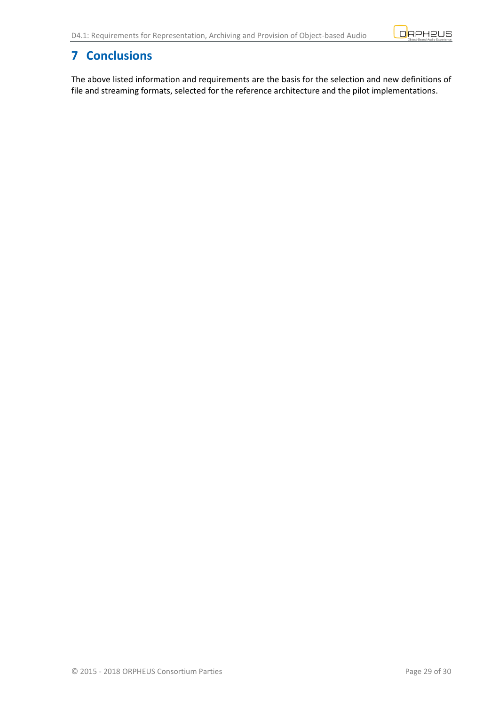

# <span id="page-28-0"></span>**7 Conclusions**

The above listed information and requirements are the basis for the selection and new definitions of file and streaming formats, selected for the reference architecture and the pilot implementations.